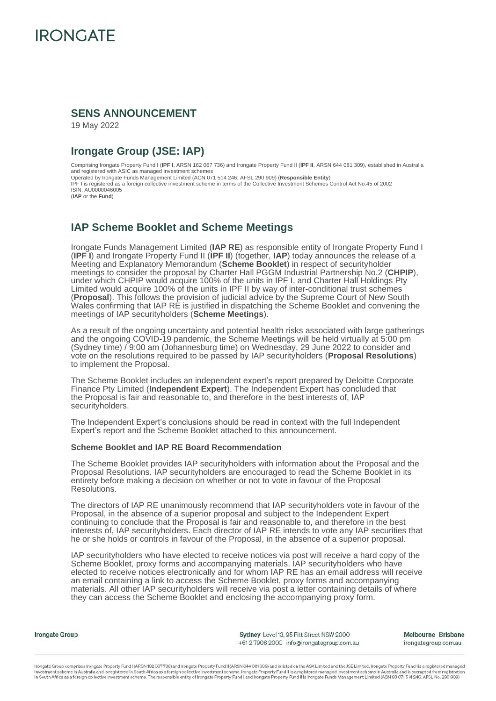

### **SENS ANNOUNCEMENT**

19 May 2022

# **Irongate Group (JSE: IAP)**

Comprising Irongate Property Fund I (**IPF I**, ARSN 162 067 736) and Irongate Property Fund II (**IPF II**, ARSN 644 081 309), established in Australia and registered with ASIC as managed investment schemes Operated by Irongate Funds Management Limited (ACN 071 514 246; AFSL 290 909) (**Responsible Entity**) IPF I is registered as a foreign collective investment scheme in terms of the Collective Investment Schemes Control Act No.45 of 2002 ISIN: AU0000046005 (**IAP** or the **Fund**)

## **IAP Scheme Booklet and Scheme Meetings**

Irongate Funds Management Limited (**IAP RE**) as responsible entity of Irongate Property Fund I (**IPF I**) and Irongate Property Fund II (**IPF II**) (together, **IAP**) today announces the release of a Meeting and Explanatory Memorandum (**Scheme Booklet**) in respect of securityholder meetings to consider the proposal by Charter Hall PGGM Industrial Partnership No.2 (**CHPIP**), under which CHPIP would acquire 100% of the units in IPF I, and Charter Hall Holdings Pty Limited would acquire 100% of the units in IPF II by way of inter-conditional trust schemes (**Proposal**). This follows the provision of judicial advice by the Supreme Court of New South Wales confirming that IAP RE is justified in dispatching the Scheme Booklet and convening the meetings of IAP securityholders (**Scheme Meetings**).

As a result of the ongoing uncertainty and potential health risks associated with large gatherings and the ongoing COVID-19 pandemic, the Scheme Meetings will be held virtually at 5:00 pm (Sydney time) / 9:00 am (Johannesburg time) on Wednesday, 29 June 2022 to consider and vote on the resolutions required to be passed by IAP securityholders (**Proposal Resolutions**) to implement the Proposal.

The Scheme Booklet includes an independent expert's report prepared by Deloitte Corporate Finance Pty Limited (**Independent Expert**). The Independent Expert has concluded that the Proposal is fair and reasonable to, and therefore in the best interests of, IAP securityholders.

The Independent Expert's conclusions should be read in context with the full Independent Expert's report and the Scheme Booklet attached to this announcement.

### **Scheme Booklet and IAP RE Board Recommendation**

The Scheme Booklet provides IAP securityholders with information about the Proposal and the Proposal Resolutions. IAP securityholders are encouraged to read the Scheme Booklet in its entirety before making a decision on whether or not to vote in favour of the Proposal Resolutions.

The directors of IAP RE unanimously recommend that IAP securityholders vote in favour of the Proposal, in the absence of a superior proposal and subject to the Independent Expert continuing to conclude that the Proposal is fair and reasonable to, and therefore in the best interests of, IAP securityholders. Each director of IAP RE intends to vote any IAP securities that he or she holds or controls in favour of the Proposal, in the absence of a superior proposal.

IAP securityholders who have elected to receive notices via post will receive a hard copy of the Scheme Booklet, proxy forms and accompanying materials. IAP securityholders who have elected to receive notices electronically and for whom IAP RE has an email address will receive an email containing a link to access the Scheme Booklet, proxy forms and accompanying materials. All other IAP securityholders will receive via post a letter containing details of where they can access the Scheme Booklet and enclosing the accompanying proxy form.

Irongate Group

Sydney Level 13, 95 Pitt Street NSW 2000 +612 7906 2000 info@irongategroup.com.au Melbourne Brisbane irongategroup.com.au

Irongate Group comprises Irongate Property Fund I (ARSN 162 067736) and Irongate Property Fund II (ARSN 644 081 309) and is listed on the ASX Limited and the JSE Limited. Irongate Property Fund I is a registered managed investment scheme in Australia and is registered in South Africa as a foreign collective investment scheme. Irongate Property Fund II is a registered managed investment scheme in Australia and is exempted from registration